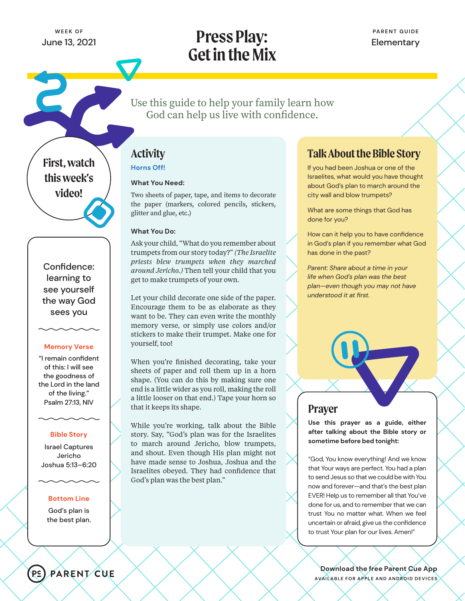# **Press Play: Get in the Mix**

Use this guide to help your family learn how God can help us live with confidence.

**First, watch this week's video!**

Confidence: learning to see yourself the way God sees you

### **Memory Verse**

"I remain confident of this: I will see the goodness of the Lord in the land of the living." Psalm 27:13, NIV

### **Bible Story**

Israel Captures Jericho Joshua 5:13–6:20

### **Bottom Line**

God's plan is the best plan.

# **Activity**

**Horns Off!**

### **What You Need:**

Two sheets of paper, tape, and items to decorate the paper (markers, colored pencils, stickers, glitter and glue, etc.)

### **What You Do:**

Ask your child, "What do you remember about trumpets from our story today?" *(The Israelite priests blew trumpets when they marched around Jericho.)* Then tell your child that you get to make trumpets of your own.

Let your child decorate one side of the paper. Encourage them to be as elaborate as they want to be. They can even write the monthly memory verse, or simply use colors and/or stickers to make their trumpet. Make one for yourself, too!

When you're finished decorating, take your sheets of paper and roll them up in a horn shape. (You can do this by making sure one end is a little wider as you roll, making the roll a little looser on that end.) Tape your horn so that it keeps its shape.

While you're working, talk about the Bible story. Say, "God's plan was for the Israelites to march around Jericho, blow trumpets, and shout. Even though His plan might not have made sense to Joshua, Joshua and the Israelites obeyed. They had confidence that God's plan was the best plan."

## **Talk About the Bible Story**

If you had been Joshua or one of the Israelites, what would you have thought about God's plan to march around the city wall and blow trumpets?

What are some things that God has done for you?

How can it help you to have confidence in God's plan if you remember what God has done in the past?

*Parent: Share about a time in your life when God's plan was the best plan—even though you may not have understood it at first.*



## **Prayer**

**Use this prayer as a guide, either after talking about the Bible story or sometime before bed tonight:**

"God, You know everything! And we know that Your ways are perfect. You had a plan to send Jesus so that we could be with You now and forever—and that's the best plan EVER! Help us to remember all that You've done for us, and to remember that we can trust You no matter what. When we feel uncertain or afraid, give us the confidence to trust Your plan for our lives. Amen!"

**Download the free Parent Cue App AVAILABLE FOR APPLE AND ANDROID DEVICES**

PARENT CUE

P<sup>c</sup>